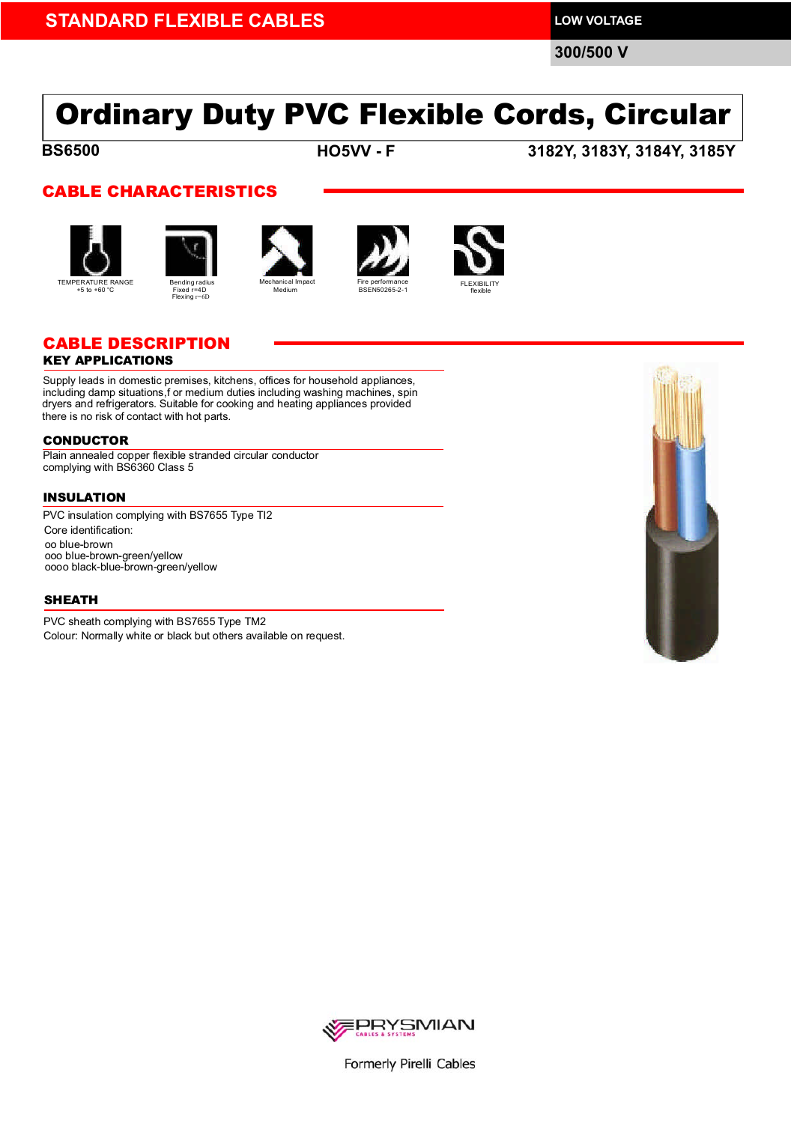**300/500 V**

# Ordinary Duty PVC Flexible Cords, Circular

**BS6500 BS6500**

**HO5VV - F 3182Y, 3183Y, 3184Y, 3185Y**

### CABLE CHARACTERISTICS











### CABLE DESCRIPTION

### KEY APPLICATIONS

Supply leads in domestic premises, kitchens, offices for household appliances, including damp situations,f or medium duties including washing machines, spin dryers and refrigerators. Suitable for cooking and heating appliances provided there is no risk of contact with hot parts.

#### CONDUCTOR

Plain annealed copper flexible stranded circular conductor complying with BS6360 Class 5

Flexing r=6D

### INSULATION

Core identification: oo blue-brown ooo blue-brown-green/yellow oooo black-blue-brown-green/yellow PVC insulation complying with BS7655 Type TI2

### **SHEATH**

PVC sheath complying with BS7655 Type TM2 Colour: Normally white or black but others available on request.





Formerly Pirelli Cables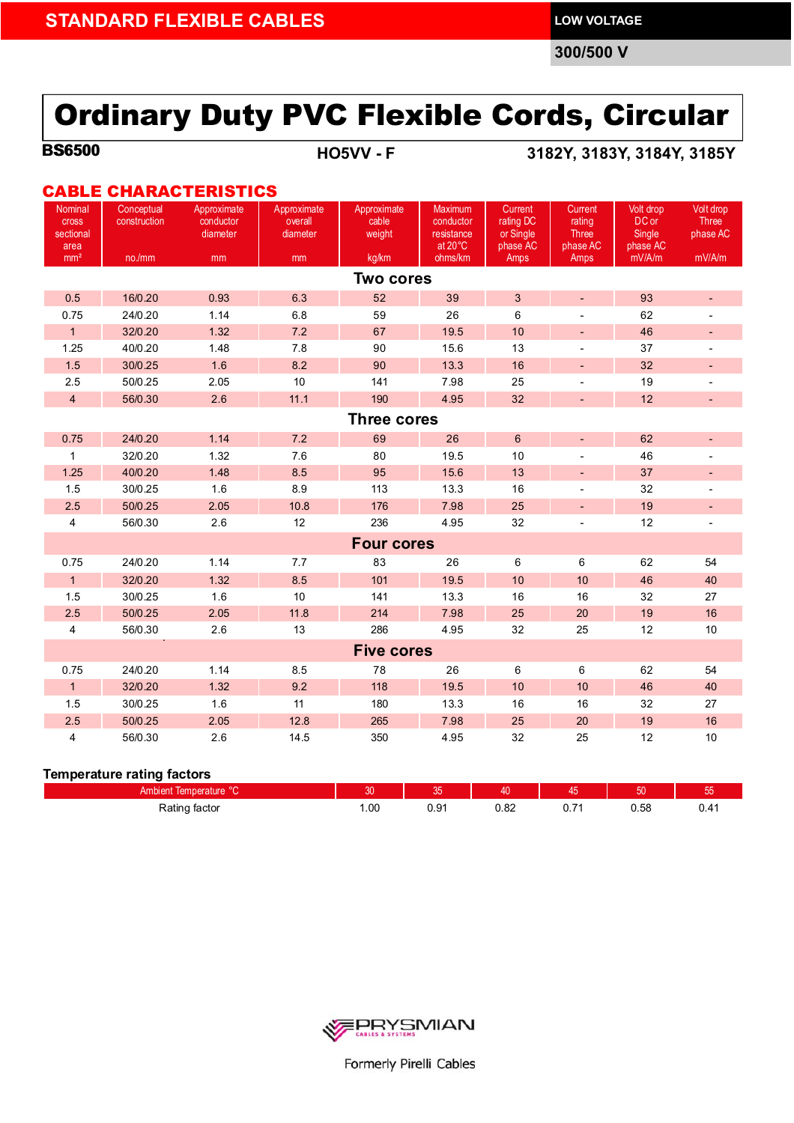**300/500 V**

## Ordinary Duty PVC Flexible Cords, Circular

**BS6500 BS6500**

**HO5VV - F 3182Y, 3183Y, 3184Y, 3185Y**

### CABLE CHARACTERISTICS

| Nominal<br><b>Cross</b>           | Conceptual<br>construction | Approximate<br>conductor | Approximate<br>overall | Approximate<br>cable | Maximum<br>conductor  | Current<br>rating DC  | Current<br>rating           | Volt drop<br>DC or | Volt drop<br><b>Three</b> |  |  |  |  |
|-----------------------------------|----------------------------|--------------------------|------------------------|----------------------|-----------------------|-----------------------|-----------------------------|--------------------|---------------------------|--|--|--|--|
| sectional<br>area                 |                            | diameter                 | diameter               | weight               | resistance<br>at 20°C | or Single<br>phase AC | <b>Three</b><br>phase AC    | Single<br>phase AC | phase AC                  |  |  |  |  |
| mm <sup>2</sup>                   | no./mm                     | mm                       | mm                     | kg/km                | ohms/km               | Amps                  | Amps                        | mV/A/m             | mV/A/m                    |  |  |  |  |
| <b>Two cores</b>                  |                            |                          |                        |                      |                       |                       |                             |                    |                           |  |  |  |  |
| 0.5                               | 16/0.20                    | 0.93                     | 6.3                    | 52                   | 39                    | $\mathbf{3}$          | $\blacksquare$              | 93                 | $\overline{\phantom{a}}$  |  |  |  |  |
| 0.75                              | 24/0.20                    | 1.14                     | 6.8                    | 59                   | 26                    | 6                     |                             | 62                 |                           |  |  |  |  |
| $\overline{1}$                    | 32/0.20                    | 1.32                     | 7.2                    | 67                   | 19.5                  | 10                    | $\blacksquare$              | 46                 | $\overline{\phantom{a}}$  |  |  |  |  |
| 1.25                              | 40/0.20                    | 1.48                     | 7.8                    | 90                   | 15.6                  | 13                    |                             | 37                 |                           |  |  |  |  |
| 1.5                               | 30/0.25                    | 1.6                      | 8.2                    | 90                   | 13.3                  | 16                    | ÷,                          | 32                 | $\overline{\phantom{a}}$  |  |  |  |  |
| 2.5                               | 50/0.25                    | 2.05                     | 10 <sup>10</sup>       | 141                  | 7.98                  | 25                    | $\blacksquare$              | 19                 | $\overline{\phantom{a}}$  |  |  |  |  |
| $\overline{4}$                    | 56/0.30                    | 2.6                      | 11.1                   | 190                  | 4.95                  | 32                    | $\overline{\phantom{a}}$    | 12                 | $\overline{\phantom{a}}$  |  |  |  |  |
| <b>Three cores</b>                |                            |                          |                        |                      |                       |                       |                             |                    |                           |  |  |  |  |
| 0.75                              | 24/0.20                    | 1.14                     | 7.2                    | 69                   | 26                    | $\,6\,$               | $\mathcal{L}_{\mathcal{A}}$ | 62                 | $\overline{\phantom{a}}$  |  |  |  |  |
| $\mathbf{1}$                      | 32/0.20                    | 1.32                     | 7.6                    | 80                   | 19.5                  | 10                    |                             | 46                 |                           |  |  |  |  |
| 1.25                              | 40/0.20                    | 1.48                     | 8.5                    | 95                   | 15.6                  | 13                    | $\overline{\phantom{a}}$    | 37                 |                           |  |  |  |  |
| 1.5                               | 30/0.25                    | 1.6                      | 8.9                    | 113                  | 13.3                  | 16                    | $\blacksquare$              | 32                 |                           |  |  |  |  |
| 2.5                               | 50/0.25                    | 2.05                     | 10.8                   | 176                  | 7.98                  | 25                    | $\overline{\phantom{a}}$    | 19                 | $\overline{\phantom{a}}$  |  |  |  |  |
| $\overline{4}$                    | 56/0.30                    | 2.6                      | 12                     | 236                  | 4.95                  | 32                    | $\overline{\phantom{a}}$    | 12                 | $\overline{\phantom{a}}$  |  |  |  |  |
| <b>Four cores</b>                 |                            |                          |                        |                      |                       |                       |                             |                    |                           |  |  |  |  |
| 0.75                              | 24/0.20                    | 1.14                     | 7.7                    | 83                   | 26                    | 6                     | $\,6\,$                     | 62                 | 54                        |  |  |  |  |
| $\mathbf{1}$                      | 32/0.20                    | 1.32                     | 8.5                    | 101                  | 19.5                  | 10                    | 10                          | 46                 | 40                        |  |  |  |  |
| 1.5                               | 30/0.25                    | 1.6                      | 10                     | 141                  | 13.3                  | 16                    | 16                          | 32                 | 27                        |  |  |  |  |
| 2.5                               | 50/0.25                    | 2.05                     | 11.8                   | 214                  | 7.98                  | 25                    | 20                          | 19                 | 16                        |  |  |  |  |
| $\overline{4}$                    | 56/0.30                    | 2.6                      | 13                     | 286                  | 4.95                  | 32                    | 25                          | 12                 | 10                        |  |  |  |  |
|                                   |                            |                          |                        | <b>Five cores</b>    |                       |                       |                             |                    |                           |  |  |  |  |
| 0.75                              | 24/0.20                    | 1.14                     | 8.5                    | 78                   | 26                    | 6                     | 6                           | 62                 | 54                        |  |  |  |  |
| $\overline{1}$                    | 32/0.20                    | 1.32                     | 9.2                    | 118                  | 19.5                  | 10                    | 10                          | 46                 | 40                        |  |  |  |  |
| 1.5                               | 30/0.25                    | 1.6                      | 11                     | 180                  | 13.3                  | 16                    | 16                          | 32                 | 27                        |  |  |  |  |
| 2.5                               | 50/0.25                    | 2.05                     | 12.8                   | 265                  | 7.98                  | 25                    | 20                          | 19                 | 16                        |  |  |  |  |
| $\overline{4}$                    | 56/0.30                    | 2.6                      | 14.5                   | 350                  | 4.95                  | 32                    | 25                          | 12                 | 10                        |  |  |  |  |
| <b>Temperature rating factors</b> |                            |                          |                        |                      |                       |                       |                             |                    |                           |  |  |  |  |

| $\sim$<br>-<br>Ambient<br>rature<br>lemnei | nn   | $\sim$ $-$<br>vu          | и∩           |                                            | e o  | --<br>vu        |
|--------------------------------------------|------|---------------------------|--------------|--------------------------------------------|------|-----------------|
| Rating<br>tacto<br>.<br>$\cdot$            | 1.00 | $\sim$<br><br><b>U.UI</b> | . ററ<br>∪.∪∠ | ◡.≀<br>the contract of the contract of the | U.OO | . .<br>$\cdots$ |



Formerly Pirelli Cables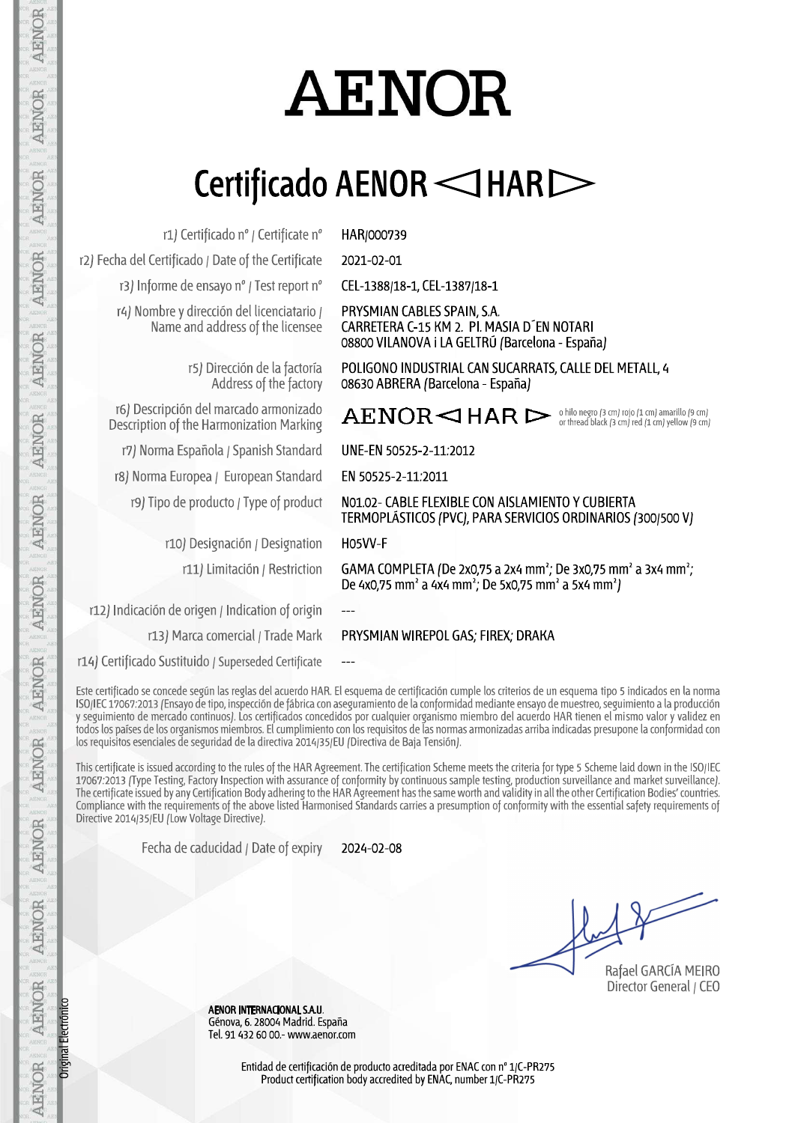# **AENOR**

# Certificado AENOR < THAR

r1) Certificado nº / Certificate nº

r2) Fecha del Certificado / Date of the Certificate

r3) Informe de ensayo nº / Test report nº

r4) Nombre y dirección del licenciatario / Name and address of the licensee

> r5) Dirección de la factoría Address of the factory

r6) Descripción del marcado armonizado Description of the Harmonization Marking

r7) Norma Española / Spanish Standard

r8) Norma Europea / European Standard

r9) Tipo de producto / Type of product

r10) Designación / Designation r11) Limitación / Restriction

r12) Indicación de origen / Indication of origin

HAR/000739

2021-02-01

CEL-1388/18-1, CEL-1387/18-1

PRYSMIAN CABLES SPAIN, S.A. CARRETERA C-15 KM 2. PI. MASIA D EN NOTARI 08800 VILANOVA i LA GELTRÚ (Barcelona - España)

POLIGONO INDUSTRIAL CAN SUCARRATS, CALLE DEL METALL, 4 08630 ABRERA (Barcelona - España)

 $\texttt{AEMOR}\lhd \texttt{HAR} \rhd \texttt{\tiny{orbilonergro(3 cm) roj o(1 cm) annarillo(9 cm)}}$ 

UNE-EN 50525-2-11:2012

EN 50525-2-11:2011

NO1.02- CABLE FLEXIBLE CON AISLAMIENTO Y CUBIERTA TERMOPLÁSTICOS (PVC), PARA SERVICIOS ORDINARIOS (300/500 V)

H05VV-F

GAMA COMPLETA (De 2x0,75 a 2x4 mm<sup>2</sup>; De 3x0,75 mm<sup>2</sup> a 3x4 mm<sup>2</sup>; De 4x0,75 mm<sup>2</sup> a 4x4 mm<sup>2</sup>; De 5x0,75 mm<sup>2</sup> a 5x4 mm<sup>2</sup>)

 $\overline{a}$ r13) Marca comercial / Trade Mark

### PRYSMIAN WIREPOL GAS: FIREX: DRAKA

r14) Certificado Sustituido / Superseded Certificate

Este certificado se concede según las reglas del acuerdo HAR. El esquema de certificación cumple los criterios de un esquema tipo 5 indicados en la norma<br>ISO/IEC 17067:2013 (Ensayo de tipo, inspección de fábrica con asegur y seguimiento de mercado continuos). Los certificados concedidos por cualquier organismo miembro del acuerdo HAR tienen el mismo valor y validez en<br>todos los países de los organismos miembros. El cumplimiento con los requi los requisitos esenciales de seguridad de la directiva 2014/35/EU (Directiva de Baja Tensión).

This certificate is issued according to the rules of the HAR Agreement. The certification Scheme meets the criteria for type 5 Scheme laid down in the ISO/IEC 17067:2013 (Type Testing, Factory Inspection with assurance of conformity by continuous sample testing, production surveillance and market surveillance). The certificate issued by any Certification Body adhering to the HAR Agreement has the same worth and validity in all the other Certification Bodies' countries. Compliance with the requirements of the above listed Harmonised Standards carries a presumption of conformity with the essential safety requirements of Directive 2014/35/EU (Low Voltage Directive).

> Fecha de caducidad / Date of expiry 2024-02-08

Rafael GARCÍA MEIRO

Director General / CEO

AENOR INTERNACIONAL S.A.U. Génova, 6. 28004 Madrid. España Tel. 91 432 60 00.- www.aenor.com

**AENOR AENOR AENOR** AENOR AENOR AENOR AENOR Original Electrónic AENOR

AENOR

AENOR

AENOR

**AFNOR** 

AENOR

AENOR

Entidad de certificación de producto acreditada por ENAC con nº 1/C-PR275 Product certification body accredited by ENAC, number 1/C-PR275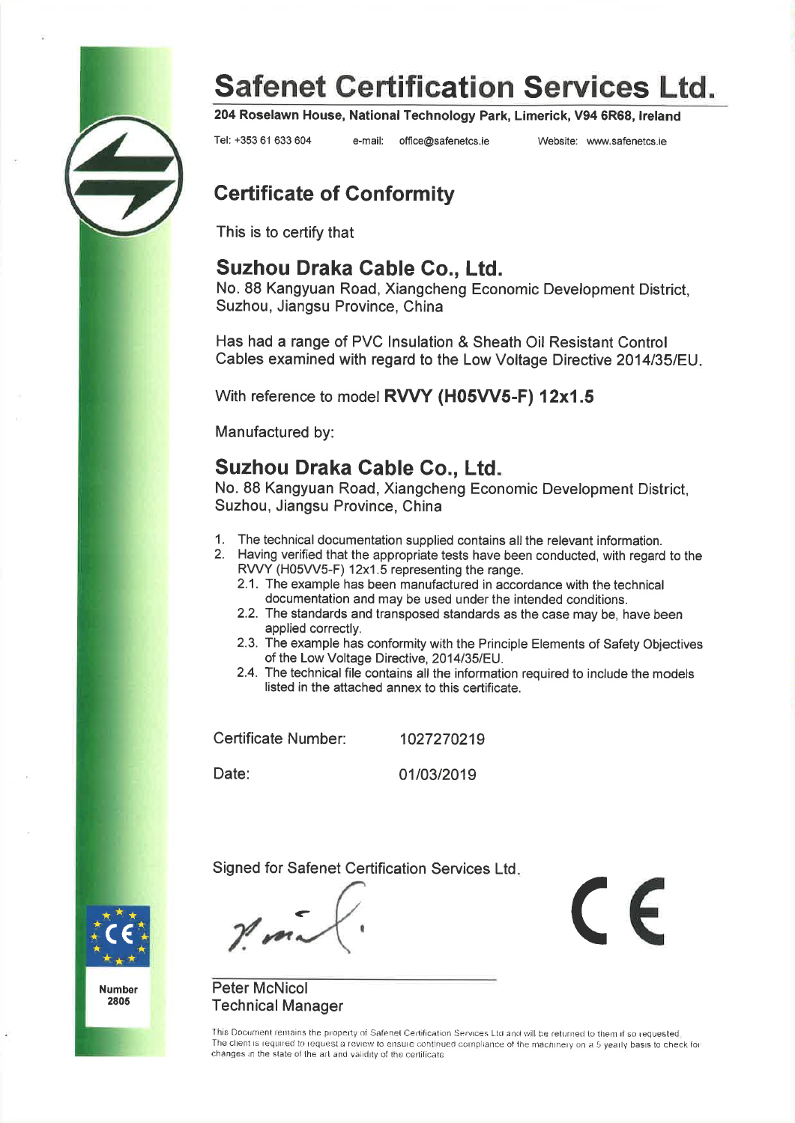

204 Roselawn House, National Technology Park, Limerick, V94 6R68, Ireland

Tel: +353 61 633 604

e-mail: office@safenetcs.ie Website: www.safenetcs.ie

 $\epsilon$ 

### **Certificate of Conformity**

This is to certify that

### Suzhou Draka Cable Co., Ltd.

No. 88 Kangyuan Road, Xiangcheng Economic Development District, Suzhou, Jiangsu Province, China

Has had a range of PVC Insulation & Sheath Oil Resistant Control Cables examined with regard to the Low Voltage Directive 2014/35/EU.

With reference to model RVVY (H05VV5-F) 12x1.5

Manufactured by:

### Suzhou Draka Cable Co., Ltd.

No. 88 Kangyuan Road, Xiangcheng Economic Development District. Suzhou, Jiangsu Province, China

- 1. The technical documentation supplied contains all the relevant information.
- 2. Having verified that the appropriate tests have been conducted, with regard to the RVVY (H05VV5-F) 12x1.5 representing the range.
	- 2.1. The example has been manufactured in accordance with the technical documentation and may be used under the intended conditions.
	- 2.2. The standards and transposed standards as the case may be, have been applied correctly.
	- 2.3. The example has conformity with the Principle Elements of Safety Objectives of the Low Voltage Directive, 2014/35/EU.
	- 2.4. The technical file contains all the information required to include the models listed in the attached annex to this certificate.

Certificate Number:

1027270219

Date:

01/03/2019

Signed for Safenet Certification Services Ltd.





**Peter McNicol Technical Manager** 

This Document remains the property of Safenet Certification Services Ltd and will be returned to them if so requested The client is required to request a review to ensure continued compliance of the machinery on a 5 yearly basis to check for changes in the state of the art and validity of the certificate